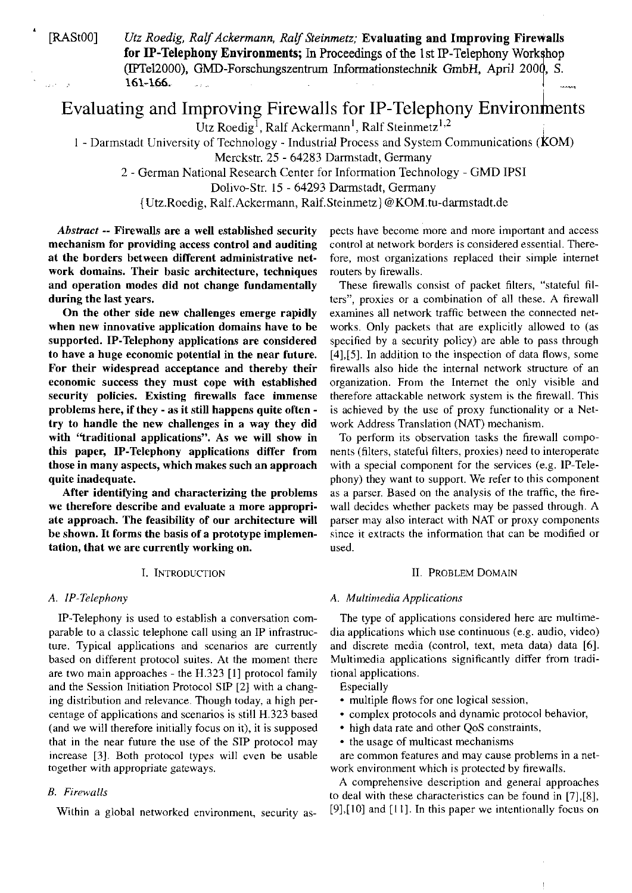$\sim 10$ 

[RAStOO] *Utz Roedig, RnlfAckermann, RnlfSteinmetz;* Evaluating and Improving Firewalls for IP-Telephony Environments; In Proceedings of the 1st IP-Telephony Workshop (IPTel2000), GMD-Forschungszentrum Informationstechnik GmbH, April 2000, S. 161-166. i

# Evaluating and Improving Firewalls for IP-Telephony Environments

 $\widehat{U}$ tz Roedig<sup>I</sup>, Ralf Ackermann<sup>1</sup>, Ralf Steinmetz<sup>1,2</sup>

<sup>I</sup>- Darmstadt University of Technology - Industriai Process and System Communications ( **k** OM)

Merckstr. 25 - 64283 Darmstadt, Germany

2 - German National Research Center for Information Technology - GMD IPSI

Dolivo-Str. 15 - 64293 Darmstadt, Germany

{Utz.Roedig, Ralf.Ackermann, Ralf.Steinmetz] @KOM.tu-darmstadt.de

Abstract -- Firewalls are a well established security mechanism for providing access control and auditing at the borders between different administrative network domains. Their basic architecture, techniques and operation modes did not change fundamentally during the last years.

On the other side new challenges emerge rapidly when new innovative application domains have to be supported. IP-Telephony applications are considered to have a huge economic potential in the near future. For their widespread acceptance and thereby their economic success they must cope with established security policies. Existing firewalls face immense problems here, if they - as it still happens quite often try to handle the new challenges in a way they did with "traditional applications". As we will show in this paper, IP-Telephony applications differ from those in many aspects, which makes such an approach quite inadequate.

After identifying and characterizing the problems we therefore describe and evaluate a more appropriate approach. The feasibility of our architecture will be shown. It forms the basis of a prototype implementation, that we are currently working on.

#### I. INTRODUCTION

IP-Telephony is used to establish a conversation comparable to a classic telephone call using an IP infrastructure. Typical applications and scenarios are currently based on different protocol suites. At the moment there are two main approaches - the H.323 [l] protocol family and the Session Initiation Protocol SIP [2] with a changing distribution and relevance. Though today, a high percentage of applications and scenarios is still H.323 based (and we will therefore initially focus on it), it is supposed that in the near future the use of the SIP protocol may increase **[3].** Both protocol types will even be usable together with appropriate gateways.

# *B. Firewalls*

Within a global networked environment, security as-

pects have become more and more important and access control at network borders is considered essential. Therefore, most organizations replaced their simple intemet routers by firewalls.

These firewalls consist of packet filters, "stateful filters", proxies or a combination of all these. A firewall examines all network traffic between the connected networks. Only packets that are explicitly allowed to (as specified by a security policy) are able to pass through [4],[5]. In addition to the inspection of data flows, some firewalls also hide the internal network structure of an organization. From the Intemet the only visible and therefore attackable network systern is the firewall. This is achieved by the use of proxy functionality or a Network Address Translation (NAT) mechanism.

To perform its observation tasks the firewall components (filters, stateful filters, proxies) need to interoperate with a special component for the services (e.g. IP-Telephony) they Want to Support. We refer to this component as a parser. Based on the analysis of the traffic, the firewall decides whether packets may be passed through. A parser may also interact with NAT or proxy components since it extracts the information that can be modified or used.

#### **II. PROBLEM DOMAIN**

#### *A. IP-Telephon); A. Multiniedia Applications*

The type of applications considered here are multimedia applications which use continuous (e.g. audio, video) and discrete media (control, text, meta data) data 161. Multimedia applications significantly differ from traditional applications.

Especially

- multiple flows for one logical session,
- complex protocols and dynamic protocol behavior,
- high data rate and other QoS constraints,
- the usage of multicast mechanisms

are common features and may cause problems in a network environment which is protected by firewalls.

A comprehensive descnption and general approaches to deal with these characteristics can be found in [7],[8], [9],[10] and [I I]. In this paper we intentionally focus on

 $\begin{array}{c} \hline \end{array}$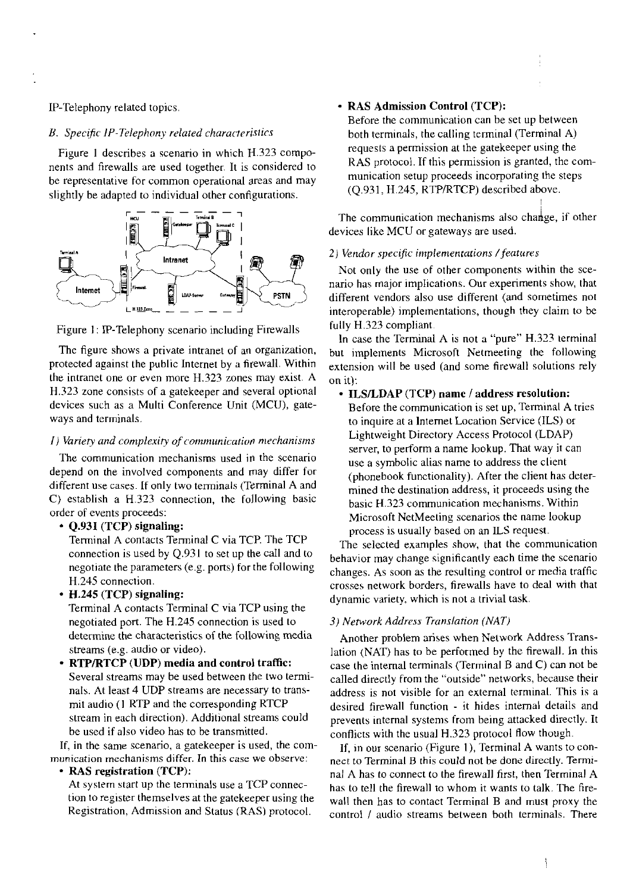#### IP-Telephony related topics.

# B. Specific IP-Telephony related characteristics

Figure 1 describes a scenario in which H.323 components and firewalls are used together. It is considered to be representative for common operational areas and may slightly be adapted to individual other configurations.



Figure 1: IP-Telephony scenario including Firewalls

The figure shows a private intranet of an organization, protected against the public Internet by a firewall. Within the intranet one or even more H.323 zones may exist. A H.323 zone consists of a gatekeeper and several optional devices such as a Multi Conference Unit (MCU), gateways and terminals.

# I) Variety and complexity of communication mechanisms

The communication mechanisms used in the scenario depend on the involved components and may differ for different use cases. If only two terminals (Terminal A and C) establish a H.323 connection, the following basic order of events proceeds:

#### • Q.93I (TCP) signaling:

Terminal A contacts Terminal C via TCP. The TCP connection is used by  $Q.931$  to set up the call and to negotiate the parameters (e.g. ports) for the following H.245 connection.

• H.245 (TCP) signaling:

Terminal A contacts Terminal C via TCP using the negotiated port. The H.245 connection is used to determine the characteristics of the following media streams (e.g. audio or video).

• RTP/RTCP (UDP) media and control traffic: Several streams may be used between the two terminals. At least 4 UDP streams are necessary to transmit audio (1 RTP and the corresponding RTCP stream in each direction). Additional streams could be used if also video has to be transmitted.

If, in the same scenario, a gatekeeper is used, the communication mechanisms differ. In this case we observe:

#### • RAS registration (TCP):

At system start up the terminals use a TCP connection to register themselves at the gate keeper using the Registration, Admission and Status (RAS) protocol.

# - RAS Admission Control (TCP):

Before the communication can be set up between both terminals, the calling terminal (Terminal A) requests a permission at the gatekeeper using the RAS protocol. If this permission is granted, the communication setup proceeds incorporating the steps (O.931, H.245, RTP/RTCP) described above.

The communication mechanisms also change, if other devices like MCU or gateways are used.

#### 2) Vendor specific implementations / features

Not only the use of other components within the scenario has major implications. Our experiments show, that different vendors also use different (and sometimes not interoperable) implementations, though they claim to be fully H.323 compliant.

In case the Terminal A is not a "pure" H.323 terminal but implements Microsoft Netmeeting the following extension will be used (and some firewall solutions rely on it):

#### • ILS/LDAP (TCP) name / address resolution:

Before the communication is set up, Terminal A tries to inquire at a Internet Location Service (ILS) or Lightweight Directory Access Protocol (LDAP) server, to perform a name lookup. That way it can use a symbolic alias name to address the client (phonebook functionality). After the client has determined the destination address, it proceeds using the basic H.323 communication mechanisms. Within Microsoft NetMeeting scenarios the name lookup process is usually based on an ILS request.

The selected examples show, that the communication behavior may change significantly each time the scenario changes. As soon as the resulting control or media traffic crosses network borders, firewalls have to deal with that dynamic variety, which is not a trivial task.

# 3) Network Address Translation (NAT)

Another problem arises when Network Address Translation (NAT) has to be performed by the firewall. In this case the internal terminals (Terminal B and C) can not be called directly from the "outside" networks, because their address is not visible for an external terminal. This is a desired firewall function - it hides internal details and prevents internal systems from being attacked directly. It conflicts with the usual H.323 protocol flow though.

If, in our scenario (Figure 1), Terminal A wants to connect to Terminal B this could not be done directly. Terminal A has to connect to the firewall first, then Terminal A has to tell the firewall to whom it wants to talk. The firewall then has to contact Terminal B and must proxy the control / audio streams between both terminals. There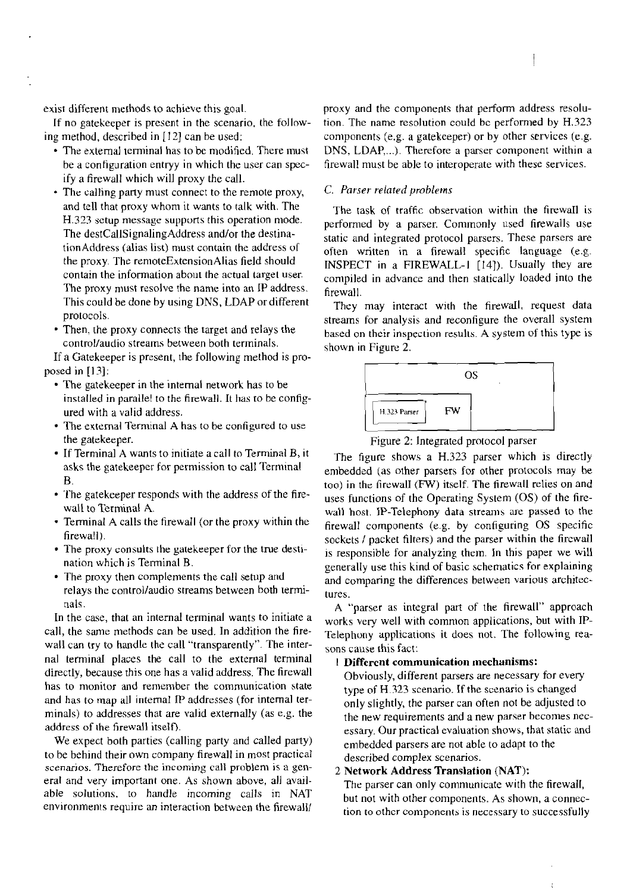exist different methods to achieve this goal.

If no gatekeeper is present in the scenario. the following method, described in [I21 can be used:

- The external terminal has to be modified. There must be a configuration entryy in which the user can specify a firewall which will proxy the call.
- The calling party must connect to the remote proxy, and tell that proxy whom it wants to talk with. The H.323 setup message supports this operation mode. The destCallSignalingAddress and/or the destinationAddress (alias list) must contain the address of the proxy. The remoteExtensionAlias field should contain the information about the actual target user. The proxy must resolve the name into an IP address. This could be done by using DNS, LDAP or different protocols.
- Then, the proxy connects the target and relays the control/audio streams between both terminals.

If a Gatekeeper is present, the following method is proposed in [13]:

- The gatekeeper in the internal network has to be installed in parallel to the firewall. It has to be configured with a valid address.
- The external Terminal A has to be configured to use the gatekeeper.
- If Terminal A wants to initiate a call to Terminal B, it asks the gatekeeper for permission to call Terminal B.
- The gatekeeper responds with the address of the firewall to Terminal A.
- Terminal A calls the tireaall (or the proxy within the firewall).
- The proxy consults the gatekeeper for the true destination which is Terminal B.
- The proxy then complements the call setup and relays the controllaudio streams between both terminals.

In the case, that an intemal terminal wants to initiate a call, the same methods can be used. In addition the firewall can try to handle the call "transparently". The internal terminal places the call to the external terminal directly, because this one has a valid address. The firewall has to monitor and remember the communication state and has to map all internal IP addresses (for internal terminals) to addresses that are valid externally (as e.g. the address of the firewall itself).

We expect both parties (calling party and called party) tobe behind their own company firewall in most practical scenarios. Therefore the incoming call problem **1s** a general and very important one. As shown above, all available solutions, to handle incoming calls in NAT environments require an interaction between the firewall

proxy and the components that perfom address resolution. The name resolution could be performed by H.323 components (e.g. a gatekeeper) or by other services (e.g. DNS, LDAP,...). Therefore a parser component within a firewall must be able to interoperate with these services.

# *C. Parser reiatedproblerns*

The task of traffic observation within the firewaI1 is performed by a parser. Commonly used firewalls use static and integrated protocol parsers. These parsers are often written in a firewall specific language (e.g. INSPECT in a FIREWALL-I [14]). Usually they are compiled in advance and then statically loaded into the firewall.

They may interact with the firewall. request data streams for analysis and reconfigure the overall system based on their inspection results. A system of this type is shown in Figure *2.* 



Figure *2:* lntegrated protocol parser

The figure shows a H.323 parser which is directly enibeddzd (as other parsers for other protocols may be too) in thc fircwalI **(FW)** itself. The firewall relies on and uses functions of the Operating System (OS) of the firewall host. IP-Telephony data streams are passed to the firewall components (e.g. by configuring OS specific sockets / packet filters) and the parser within the fircwall is responsible for analyzing them. In this paper we will generally use this kind of basic schematics for explaining and comparing the differences between various architectures.

A "parser as integral part of the firewall" approach works very well with common applications, but with IP-Tclepliony applications it does not. The following reasons cause this fact:

# 1 Different communication mechanisms:

Obviously, different parsers are necessary for every type of H.323 scenario. If the scenario is changed only slightly, the parser can often not be adjusted to the new requirements and a new parser hecomes necessary. Our practical evaluation shows, that static and enibedded parsers are not able to adapt to the described complex scenarios.

# 2 Network Address Translation (NAT):

The parser can only communicate with the firewall, but not with other components. As shown, a connection to other components is necessary to successfully

ŧ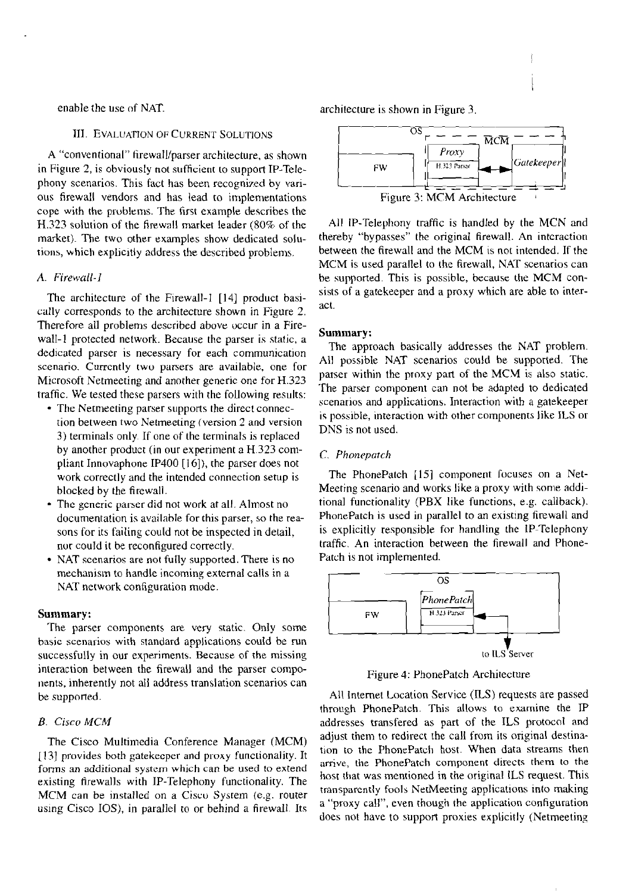# **III. EVALUATION OF CURRENT SOLUTIONS**

A "conventional" firewall/parser architecture, as shown in Figure 2, is obviously not sufficient to support IP-Telephony scenarios. This fact has been recognized by various firewall vendors and has lead to implementations cope with the prublems. The first example describes the H.323 solution of the firewall market leader (80% of the market). The two other examples show dedicated solutions, which explicitly address the described problems.

#### A. Firewall-1

The architecture of the Firewall-1 [14] product basically corresponds to the architecture shown in Figure *2.*  Therefore all problems described above uccur in a Firewall-1 protected network. Because the parser is static, a dedicated parser is necessary for each communication scenario. Currently two parsers are available, one for Microsoft Netmeeting and another generic one for H.323 traffic. We tested these parsers with the following results:

- The Netmeeting parser supports the direct connection between two Netmeeting (version 2 and version 3) terminals only If one of the terminals is replaced by another product (in our experiment a **H323** compliant Innovaphone IP400 [16]), the parser does not work correctly and the intended connection setup is blocked by the firewall.
- The generic parser did not work at all. Almost no documentation is available for this parser, so the reasons for its failing could not be inspected in detail, nur could it be reconfigured correctly.
- NAT scenarios are not fully supported. There is no mechanism to handle incoming external calls in a NAT network configuration mode.

#### **Summary:**

The parser components are very static. Only some basic scenarios with standard applications could be tun successfully in our experiments. Because of the missing interaction between the firewall and the parser components, inherently not all address translation scenarios can be supported.

#### B. Cisco MCM

The Cisco Multimedia Conference Manager (MCM) [13] provides both gatekecper and proxy functionality. It forms an additional system which can be used to extend existing firewalls with IP-Telephony functionality. The MCM can be installcd on a Ciscu System (e.g. router using Cisco IOS), in parallel to or behind a firewall Its

enable the use of NAT. The neutralisation of NAT.



All IP-Telephony traffic is handled by the MCN and thereby "bypasses" the original firewall. An intcraction between the firewall and the MCM is not intended. If the MCM is used parallel to the firewall, NAT scenarios can be supported. This is possible, because the MCM consists of a gatekeeper and a proxy which are able to interact.

#### **Summary:**

The approach basically addresses the NAT problem. All possible NAT scenarios could be supported. The parser within the proxy part of the MCM is also static. The parser component can not be adapted to dedicated scenarios and applications. Interaction with a gatekeeper is possible, interaction with other components like ILS or DNS is not used.

#### C. *Phoneparch*

The PhonePatch  $[15]$  component focuses on a Net-Meeting scenario and works like a proxy with some additional functionality (PBX like functions, e.g. callback). PhonePatch is used in parallel to an existing firewall and is explicitly responsible for handling the lP-Telephony traffic. An interaction between the firewall and Phone-Patch is not implemented.



Figure 4: PhonePatch Architecture

All lnternet Location Service (ILS) requests are passed through PhonePatch. This allows to examine the IP addresses transfered as part of the ILS protocol and adjust them to redirect the call from its original destination to the PhonePatch host. When data streams then arrive, the PhonePatch component directs them to the host that was mentioned in the original ILS request. This transparently fools NetMeeting applications into making a "proxy call", even though the application configuration does not have to support proxies explicitly (Netmeeting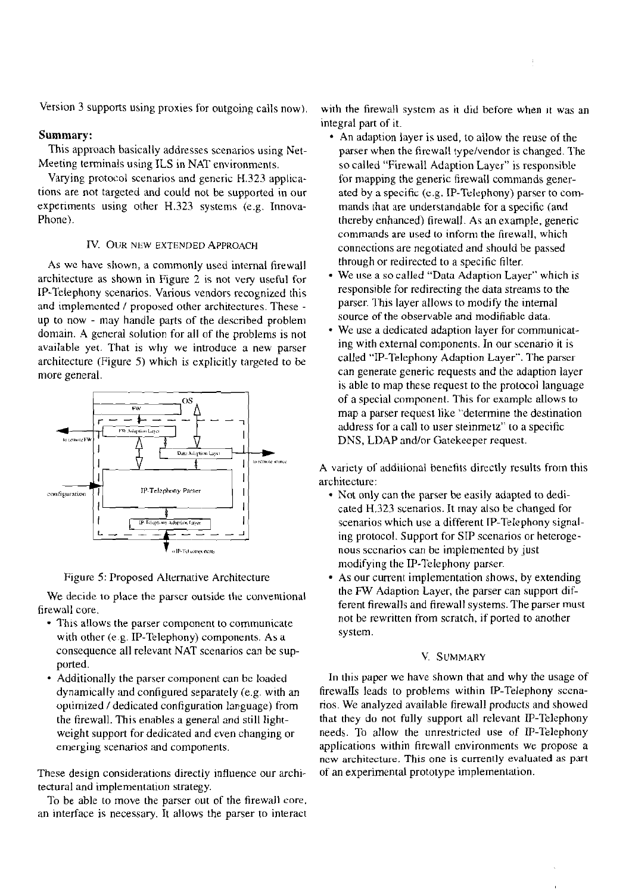Version 3 supports using proxies for outgoing calls now).

# Summary:

This approach basically addresses scenarios using Net-Meeting terminals using ILS in NAT environments.

Varying protocol scenarios and generic H.323 applications are not targeted and could not be supported in our experiments using other H.323 systems (e.g. Innova-Phone).

# **IV. OUR** NEW EXTENDED APPROACH

As we have shown, a commonly used internal firewall architecture as shown in Figure  $2$  is not very useful for IP-Telephony scenarios. Various vendors recognized this and implemented / proposed other architectures. These up to now - may handle parts of the described problem domain. **A** general solution for all of the problems is not available yet. That is why we introduce a new parser architecture (Figure 5) which is explicitly targeted to be more general.



Figure 5: Proposed Alternative Architecture

We decide to place the parser outside the conventional firewall core.

- This allows the parser component to communicate with other (e.g. IP-Telephony) components. As a consequence all relevant NAT scenarios can be supported.
- Additionally the parser component can be loaded dynamically and configured separately (e.g. with an opiimized / dedicated configuration language) from the firewall. This enables a general and still lightweight support for dedicated and even changing or emerging scenarios and components.

These design considerations directly influence our architectural and implementation strategy.

To be able to move the parser out of the firewall core. an interface is necessary. It allows the parser to interact with the firewall systcm as it did before when it was an integral part of it.

- An adaption layer is used, to allow the reuse of the parser when the firewall type/vendor is changed. The so called "Firewall Adaption Layer" is responsihle for mapping the generic firewall commands generated by a specific (c.g. IP-Tclcphony) parser to commands that are understandable for a specific (and thereby enhanced) firewall. As an example, genenc commands are used to inform the firewall, which connections are negotiated and should be passed through or redirected to a specific filter.
- We use a so called "Data Adaption Layer" which is responsible for redirecting the data streams to the parser. This layer allows to modify the internal source of the observable and modifiable data.
- We use a dedicated adaption layer for communicating with extemal components. In our scenario it is called "IP-Telephony Adaption Layer". The parser can generate generic requests and the adaption layer is able to map these request to the protocol language of a Special component. This for examplc allows to map a parser request like "determine the destination address for acall to user sieinmetz" to a specific DNS, LDAP and/or Gatekeeper request.

A variety of additional benefits directly results from this architecture:

- Not only can the parser be easily adapted to dedicated H.323 scenarios. It may also be changed for scenarios which use a different TP-Telephony signaling protocol. Support for SIP scenarios or heterogenous sccnarios can be implemented by just modifying the IP-Telephony parser.
- As our current implementation shows, by extending the FW Adaption Layer, the parser can support different firewalls and firewall systems. The parser most not be rewritten from scratch, if ported to another System.

#### V. SUMMARY

In this paper we have shown that and why the usage of firewalIs leads to problems within IP-Telephony sccnarios. We analyzed available firewall products and showed that they do not fully support all relevant IP-Telephony needs. To allow the unrestricted use of IP-Telephony applications within firewall environments we propose a ncw architecture. This one is currently evaluated as part of an experimental prototype implementation.